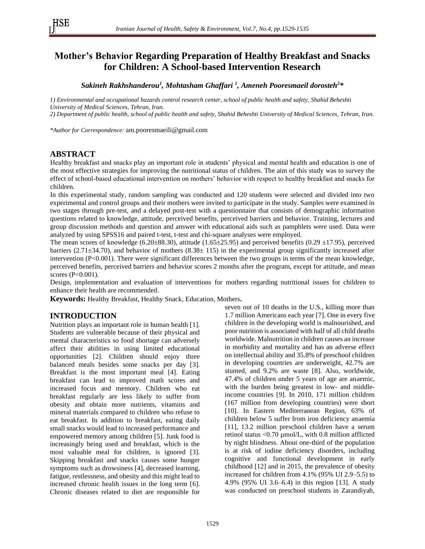# **Mother's Behavior Regarding Preparation of Healthy Breakfast and Snacks for Children: A School-based Intervention Research**

*Sakineh Rakhshanderou<sup>1</sup> , Mohtasham Ghaffari <sup>1</sup> , Ameneh Pooresmaeil dorosteh<sup>2</sup> \**

*1) Environmental and occupational hazards control research center, school of public health and safety, Shahid Beheshti University of Medical Sciences, Tehran, Iran.*

*2) Department of public health, school of public health and safety, Shahid Beheshti University of Medical Sciences, Tehran, Iran.*

*\*Author for Correspondence:* [am.pooresmaeili@gmail.com](mailto:am.pooresmaeili@gmail.com)

# **ABSTRACT**

Healthy breakfast and snacks play an important role in students' physical and mental health and education is one of the most effective strategies for improving the nutritional status of children. The aim of this study was to survey the effect of school-based educational intervention on mothers' behavior with respect to healthy breakfast and snacks for children.

In this experimental study, random sampling was conducted and 120 students were selected and divided into two experimental and control groups and their mothers were invited to participate in the study. Samples were examined in two stages through pre-test, and a delayed post-test with a questionnaire that consists of demographic information questions related to knowledge, attitude, perceived benefits, perceived barriers and behavior. Training, lectures and group discussion methods and question and answer with educational aids such as pamphlets were used. Data were analyzed by using SPSS16 and paired t-test, t-test and chi-square analyses were employed.

The mean scores of knowledge (6.20 $\pm$ 88.30), attitude (1.65 $\pm$ 25.95) and perceived benefits (0.29  $\pm$ 17.95), perceived barriers (2.71 $\pm$ 34.70), and behavior of mothers (8.38 $\pm$  115) in the experimental group significantly increased after intervention (P<0.001). There were significant differences between the two groups in terms of the mean knowledge, perceived benefits, perceived barriers and behavior scores 2 months after the program, except for attitude, and mean scores (P<0.001).

Design, implementation and evaluation of interventions for mothers regarding nutritional issues for children to enhance their health are recommended.

**Keywords:** Healthy Breakfast, Healthy Snack, Education, Mothers**.**

# **INTRODUCTION**

Nutrition plays an important role in human health [\[1\]](#page-5-0). Students are vulnerable because of their physical and mental characteristics so food shortage can adversely affect their abilities in using limited educational opportunities [\[2\]](#page-5-1). Children should enjoy three balanced meals besides some snacks per day [3]. Breakfast is the most important meal [\[4\]](#page-5-2). Eating breakfast can lead to improved math scores and increased focus and memory. Children who eat breakfast regularly are less likely to suffer from obesity and obtain more nutrients, vitamins and mineral materials compared to children who refuse to eat breakfast. In addition to breakfast, eating daily small snacks would lead to increased performance and empowered memory among children [5]. Junk food is increasingly being used and breakfast, which is the most valuable meal for children, is ignored [3]. Skipping breakfast and snacks causes some hunger symptoms such as drowsiness [\[4\]](#page-5-2), decreased learning, fatigue, restlessness, and obesity and this might lead to increased chronic health issues in the long term [6]. Chronic diseases related to diet are responsible for seven out of 10 deaths in the U.S., killing more than 1.7 million Americans each year [7]. One in every five children in the developing world is malnourished, and poor nutrition is associated with half of all child deaths worldwide. Malnutrition in children causes an increase in morbidity and mortality and has an adverse effect on intellectual ability and 35.8% of preschool children in developing countries are underweight, 42.7% are stunted, and 9.2% are waste [\[8\]](#page-5-3). Also, worldwide, 47.4% of children under 5 years of age are anaemic, with the burden being greatest in low- and middleincome countries [\[9\]](#page-5-4). In 2010, 171 million children (167 million from developing countries) were short [\[10\]](#page-5-5). In Eastern Mediterranean Region, 63% of children below 5 suffer from iron deficiency anaemia [11], 13.2 million preschool children have a serum retinol status <0.70 µmol/L, with 0.8 million afflicted by night blindness. About one-third of the population is at risk of iodine deficiency disorders, including cognitive and functional development in early childhood [12] and in 2015, the prevalence of obesity increased for children from 4.1% (95% UI 2.9–5.5) to 4.9% (95% UI 3.6–6.4) in this region [13]. A study was conducted on preschool students in Zarandiyah,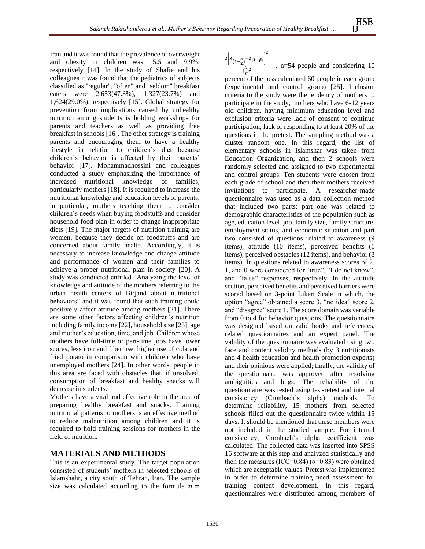Iran and it was found that the prevalence of overweight and obesity in children was 15.5 and 9.9%, respectively [14]. In the study of Shafie and his colleagues it was found that the pediatrics of subjects classified as ''regular'', ''often'' and ''seldom'' breakfast eaters were 2,653(47.3%), 1,327(23.7%) and 1,624(29.0%), respectively [15]. Global strategy for prevention from implications caused by unhealthy nutrition among students is holding workshops for parents and teachers as well as providing free breakfast in schools [16]. The other strategy is training parents and encouraging them to have a healthy lifestyle in relation to children's diet because children's behavior is affected by their parents' behavior [17]. Mohammadhossini and colleagues conducted a study emphasizing the importance of increased nutritional knowledge of families, particularly mothers [18]. It is required to increase the nutritional knowledge and education levels of parents, in particular, mothers teaching them to consider children's needs when buying foodstuffs and consider household food plan in order to change inappropriate diets [\[19\]](#page-6-0). The major targets of nutrition training are women, because they decide on foodstuffs and are concerned about family health. Accordingly, it is necessary to increase knowledge and change attitude and performance of women and their families to achieve a proper nutritional plan in society [\[20\]](#page-6-1). A study was conducted entitled "Analyzing the level of knowledge and attitude of the mothers referring to the urban health centers of Birjand about nutritional behaviors" and it was found that such training could positively affect attitude among mothers [\[21\]](#page-6-2). There are some other factors affecting children's nutrition including family income [\[22\]](#page-6-3), household size [23], age and mother's education, time, and job. Children whose mothers have full-time or part-time jobs have lower scores, less iron and fiber use, higher use of cola and fried potato in comparison with children who have unemployed mothers [\[24\]](#page-6-4). In other words, people in this area are faced with obstacles that, if unsolved, consumption of breakfast and healthy snacks will decrease in students.

Mothers have a vital and effective role in the area of preparing healthy breakfast and snacks. Training nutritional patterns to mothers is an effective method to reduce malnutrition among children and it is required to hold training sessions for mothers in the field of nutrition.

# **MATERIALS AND METHODS**

This is an experimental study. The target population consisted of students' mothers in selected schools of Islamshahr, a city south of Tehran, Iran. The sample size was calculated according to the formula  $\mathbf{n} =$ 

$$
\frac{2\left[z_{\left(1-\frac{\alpha}{2}\right)}+z_{\left(1-\beta\right)}\right]^2}{\left(\frac{\Delta}{s}\right)^2} \quad , \text{ n=54 people and considering } 10
$$

percent of the loss calculated 60 people in each group (experimental and control group) [\[25\]](#page-6-4). Inclusion criteria to the study were the tendency of mothers to participate in the study, mothers who have 6-12 years old children, having minimum education level and exclusion criteria were lack of consent to continue participation, lack of responding to at least 20% of the questions in the pretest. The sampling method was a cluster random one. In this regard, the list of elementary schools in Islamshar was taken from Education Organization, and then 2 schools were randomly selected and assigned to two experimental and control groups. Ten students were chosen from each grade of school and then their mothers received invitations to participate. A researcher-made questionnaire was used as a data collection method that included two parts: part one was related to demographic characteristics of the population such as age, education level, job, family size, family structure, employment status, and economic situation and part two consisted of questions related to awareness (9 items), attitude (10 items), perceived benefits (6 items), perceived obstacles (12 items), and behavior (8 items). In questions related to awareness scores of 2, 1, and 0 were considered for "true", "I do not know", and "false" responses, respectively. In the attitude section, perceived benefits and perceived barriers were scored based on 3-point Likert Scale in which, the option "agree" obtained a score 3, "no idea" score 2, and "disagree" score 1. The score domain was variable from 0 to 4 for behavior questions. The questionnaire was designed based on valid books and references, related questionnaires and an expert panel. The validity of the questionnaire was evaluated using two face and content validity methods (by 3 nutritionists and 4 health education and health promotion experts) and their opinions were applied; finally, the validity of the questionnaire was approved after resolving ambiguities and bugs. The reliability of the questionnaire was tested using test-retest and internal consistency (Cronbach's alpha) methods. To determine reliability, 15 mothers from selected schools filled out the questionnaire twice within 15 days. It should be mentioned that these members were not included in the studied sample. For internal consistency, Cronbach's alpha coefficient was calculated. The collected data was inserted into SPSS 16 software at this step and analyzed statistically and then the measures (ICC=0.84) ( $\alpha$ =0.83) were obtained which are acceptable values. Pretest was implemented in order to determine training need assessment for training content development. In this regard, questionnaires were distributed among members of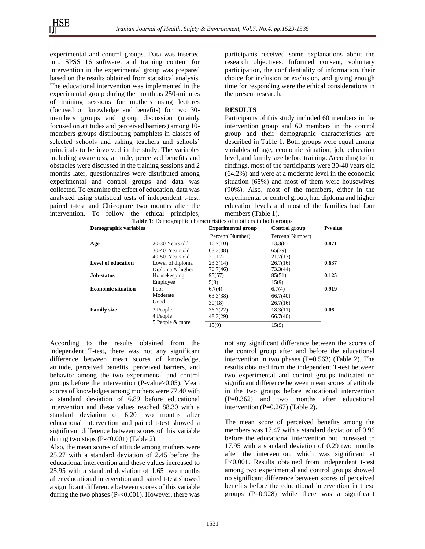experimental and control groups. Data was inserted into SPSS 16 software, and training content for intervention in the experimental group was prepared based on the results obtained from statistical analysis. The educational intervention was implemented in the experimental group during the month as 250-minutes of training sessions for mothers using lectures (focused on knowledge and benefits) for two 30 members groups and group discussion (mainly focused on attitudes and perceived barriers) among 10 members groups distributing pamphlets in classes of selected schools and asking teachers and schools' principals to be involved in the study. The variables including awareness, attitude, perceived benefits and obstacles were discussed in the training sessions and 2 months later, questionnaires were distributed among experimental and control groups and data was collected. To examine the effect of education, data was analyzed using statistical tests of independent t-test, paired t-test and Chi-square two months after the intervention. To follow the ethical principles, participants received some explanations about the research objectives. Informed consent, voluntary participation, the confidentiality of information, their choice for inclusion or exclusion, and giving enough time for responding were the ethical considerations in the present research.

#### **RESULTS**

Participants of this study included 60 members in the intervention group and 60 members in the control group and their demographic characteristics are described in Table 1. Both groups were equal among variables of age, economic situation, job, education level, and family size before training. According to the findings, most of the participants were 30-40 years old (64.2%) and were at a moderate level in the economic situation (65%) and most of them were housewives (90%). Also, most of the members, either in the experimental or control group, had diploma and higher education levels and most of the families had four members (Table 1).

| <b>Table 1:</b> Demographic characteristics of mothers in both groups |                  |                           |                 |                |  |  |  |
|-----------------------------------------------------------------------|------------------|---------------------------|-----------------|----------------|--|--|--|
| Demographic variables                                                 |                  | <b>Experimental group</b> | Control group   | <b>P-value</b> |  |  |  |
|                                                                       |                  | Percent(Number)           | Percent(Number) |                |  |  |  |
| Age                                                                   | 20-30 Years old  | 16.7(10)                  | 13.3(8)         | 0.871          |  |  |  |
|                                                                       | 30-40 Years old  | 63.3(38)                  | 65(39)          |                |  |  |  |
|                                                                       | 40-50 Years old  | 20(12)                    | 21.7(13)        |                |  |  |  |
| Level of education                                                    | Lower of diploma | 23.3(14)                  | 26.7(16)        | 0.637          |  |  |  |
|                                                                       | Diploma & higher | 76.7(46)                  | 73.3(44)        |                |  |  |  |
| Job-status                                                            | Housekeeping     | 95(57)                    | 85(51)          | 0.125          |  |  |  |
|                                                                       | Employee         | 5(3)                      | 15(9)           |                |  |  |  |
| <b>Economic situation</b>                                             | Poor             | 6.7(4)                    | 6.7(4)          | 0.919          |  |  |  |
|                                                                       | Moderate         | 63.3(38)                  | 66.7(40)        |                |  |  |  |
|                                                                       | Good             | 30(18)                    | 26.7(16)        |                |  |  |  |
| <b>Family size</b>                                                    | 3 People         | 36.7(22)                  | 18.3(11)        | 0.06           |  |  |  |
|                                                                       | 4 People         | 48.3(29)                  | 66.7(40)        |                |  |  |  |
|                                                                       | 5 People & more  | 15(9)                     | 15(9)           |                |  |  |  |

**Table 1**: Demographic characteristics of mothers in both groups

According to the results obtained from the independent T-test, there was not any significant difference between mean scores of knowledge, attitude, perceived benefits, perceived barriers, and behavior among the two experimental and control groups before the intervention (P-value>0.05). Mean scores of knowledges among mothers were 77.40 with a standard deviation of 6.89 before educational intervention and these values reached 88.30 with a standard deviation of 6.20 two months after educational intervention and paired t-test showed a significant difference between scores of this variable during two steps (P-<0.001) (Table 2).

Also, the mean scores of attitude among mothers were 25.27 with a standard deviation of 2.45 before the educational intervention and these values increased to 25.95 with a standard deviation of 1.65 two months after educational intervention and paired t-test showed a significant difference between scores of this variable during the two phases (P-<0.001). However, there was not any significant difference between the scores of the control group after and before the educational intervention in two phases  $(P=0.563)$  (Table 2). The results obtained from the independent T-test between two experimental and control groups indicated no significant difference between mean scores of attitude in the two groups before educational intervention (P=0.362) and two months after educational intervention (P=0.267) (Table 2).

The mean score of perceived benefits among the members was 17.47 with a standard deviation of 0.96 before the educational intervention but increased to 17.95 with a standard deviation of 0.29 two months after the intervention, which was significant at P<0.001. Results obtained from independent t-test among two experimental and control groups showed no significant difference between scores of perceived benefits before the educational intervention in these groups  $(P=0.928)$  while there was a significant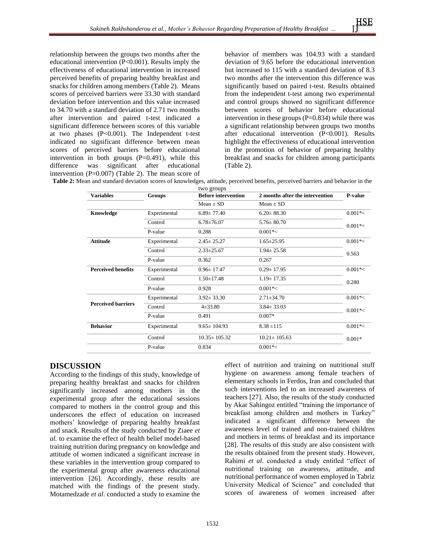relationship between the groups two months after the educational intervention (P<0.001). Results imply the effectiveness of educational intervention in increased perceived benefits of preparing healthy breakfast and snacks for children among members (Table 2). Means scores of perceived barriers were 33.30 with standard deviation before intervention and this value increased to 34.70 with a standard deviation of 2.71 two months after intervention and paired t-test indicated a significant difference between scores of this variable at two phases  $(P<0.001)$ . The Independent t-test indicated no significant difference between mean scores of perceived barriers before educational intervention in both groups  $(P=0.491)$ , while this difference was significant after educational intervention (P=0.007) (Table 2). The mean score of

behavior of members was 104.93 with a standard deviation of 9.65 before the educational intervention but increased to 115 with a standard deviation of 8.3 two months after the intervention this difference was significantly based on paired t-test. Results obtained from the independent t-test among two experimental and control groups showed no significant difference between scores of behavior before educational intervention in these groups  $(P=0.834)$  while there was a significant relationship between groups two months after educational intervention (P<0.001). Results highlight the effectiveness of educational intervention in the promotion of behavior of preparing healthy breakfast and snacks for children among participants (Table 2).

| Table 2: Mean and standard deviation scores of knowledges, attitude, perceived benefits, perceived barriers and behavior in the |  |
|---------------------------------------------------------------------------------------------------------------------------------|--|
|---------------------------------------------------------------------------------------------------------------------------------|--|

|                           |               | two groups                 |                                 |            |
|---------------------------|---------------|----------------------------|---------------------------------|------------|
| <b>Variables</b>          | <b>Groups</b> | <b>Before intervention</b> | 2 months after the intervention | P-value    |
|                           |               | $Mean + SD$                | $Mean + SD$                     |            |
| Knowledge                 | Experimental  | $6.89 \pm 77.40$           | $6.20 \pm 88.30$                | $0.001* <$ |
|                           | Control       | $6.78{\pm}76.07$           | $5.76 \pm 80.70$                | $0.001* <$ |
|                           | P-value       | 0.288                      | $0.001*<$                       |            |
| <b>Attitude</b>           | Experimental  | $2.45 \pm 25.27$           | $1.65 \pm 25.95$                | $0.001*<$  |
|                           | Control       | $2.33 \pm 25.67$           | $1.94 \pm 25.58$                | 0.563      |
|                           | P-value       | 0.362                      | 0.267                           |            |
| <b>Perceived benefits</b> | Experimental  | $0.96 \pm 17.47$           | $0.29 \pm 17.95$                | $0.001* <$ |
|                           | Control       | $1.50 \pm 17.48$           | $1.19 \pm 17.35$                | 0.280      |
|                           | P-value       | 0.928                      | $0.001*<$                       |            |
|                           | Experimental  | $3.92 \pm 33.30$           | $2.71 \pm 34.70$                | $0.001* <$ |
| <b>Perceived barriers</b> | Control       | $4\pm 33.80$               | $3.84 \pm 33.03$                | $0.001* <$ |
|                           | P-value       | 0.491                      | $0.007*$                        |            |
| <b>Behavior</b>           | Experimental  | $9.65 \pm 104.93$          | $8.38 \pm 115$                  | $0.001*<$  |
|                           | Control       | $10.35 \pm 105.32$         | $10.21 \pm 105.63$              | $0.001*$   |
|                           | P-value       | 0.834                      | $0.001*<$                       |            |

# **DISCUSSION**

According to the findings of this study, knowledge of preparing healthy breakfast and snacks for children significantly increased among mothers in the experimental group after the educational sessions compared to mothers in the control group and this underscores the effect of education on increased mothers' knowledge of preparing healthy breakfast and snack. Results of the study conducted by Ziaee *et al.* to examine the effect of health belief model-based training nutrition during pregnancy on knowledge and attitude of women indicated a significant increase in these variables in the intervention group compared to the experimental group after awareness educational intervention [26]. Accordingly, these results are matched with the findings of the present study. Motamedzade *et al*. conducted a study to examine the

effect of nutrition and training on nutritional stuff hygiene on awareness among female teachers of elementary schools in Ferdos, Iran and concluded that such interventions led to an increased awareness of teachers [\[27\]](#page-6-5). Also, the results of the study conducted by Akar Sahingoz entitled "training the importance of breakfast among children and mothers in Turkey" indicated a significant difference between the awareness level of trained and non-trained children and mothers in terms of breakfast and its importance [\[28\]](#page-6-6). The results of this study are also consistent with the results obtained from the present study. However, Rahimi *et al*. conducted a study entitled "effect of nutritional training on awareness, attitude, and nutritional performance of women employed in Tabriz University Medical of Science" and concluded that scores of awareness of women increased after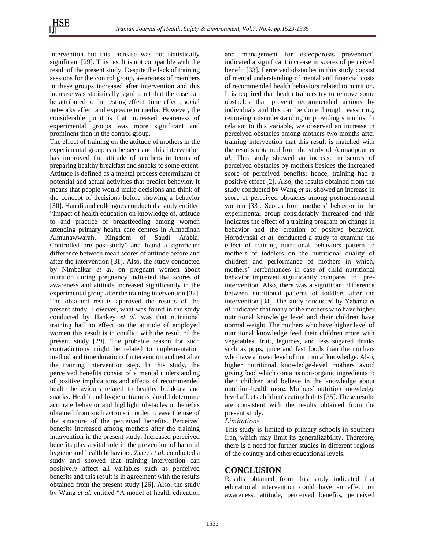intervention but this increase was not statistically significant [29]. This result is not compatible with the result of the present study. Despite the lack of training sessions for the control group, awareness of members in these groups increased after intervention and this increase was statistically significant that the case can be attributed to the testing effect, time effect, social networks effect and exposure to media. However, the considerable point is that increased awareness of experimental groups was more significant and prominent than in the control group.

The effect of training on the attitude of mothers in the experimental group can be seen and this intervention has improved the attitude of mothers in terms of preparing healthy breakfast and snacks to some extent. Attitude is defined as a mental process determinant of potential and actual activities that predict behavior. It means that people would make decisions and think of the concept of decisions before showing a behavior [30]. Hanafi and colleagues conducted a study entitled "Impact of health education on knowledge of, attitude to and practice of breastfeeding among women attending primary health care centres in Almadinah Almunawwarah, Kingdom of Saudi Arabia: Controlled pre–post-study" and found a significant difference between mean scores of attitude before and after the intervention [31]. Also, the study conducted by Nimbalkar *et al*. on pregnant women about nutrition during pregnancy indicated that scores of awareness and attitude increased significantly in the experimental group after the training intervention [32]. The obtained results approved the results of the present study. However, what was found in the study conducted by Hankey *et al*. was that nutritional training had no effect on the attitude of employed women this result is in conflict with the result of the present study [29]. The probable reason for such contradictions might be related to implementation method and time duration of intervention and test after the training intervention step. In this study, the perceived benefits consist of a mental understanding of positive implications and effects of recommended health behaviours related to healthy breakfast and snacks. Health and hygiene trainers should determine accurate behavior and highlight obstacles or benefits obtained from such actions in order to ease the use of the structure of the perceived benefits. Perceived benefits increased among mothers after the training intervention in the present study. Increased perceived benefits play a vital role in the prevention of harmful hygiene and health behaviors. Ziaee *et al.* conducted a study and showed that training intervention can positively affect all variables such as perceived benefits and this result is in agreement with the results obtained from the present study [26]. Also, the study by Wang *et al*. entitled "A model of health education

and management for osteoporosis prevention" indicated a significant increase in scores of perceived benefit [33]. Perceived obstacles in this study consist of mental understanding of mental and financial costs of recommended health behaviors related to nutrition. It is required that health trainers try to remove some obstacles that prevent recommended actions by individuals and this can be done through reassuring, removing misunderstanding or providing stimulus. In relation to this variable, we observed an increase in perceived obstacles among mothers two months after training intervention that this result is matched with the results obtained from the study of Ahmadpour *et al.* This study showed an increase in scores of perceived obstacles by mothers besides the increased score of perceived benefits; hence, training had a positive effect [\[2\]](#page-5-1). Also, the results obtained from the study conducted by Wang *et al*. showed an increase in score of perceived obstacles among postmenopausal women [33]. Scores from mothers' behavior in the experimental group considerably increased and this indicates the effect of a training program on change in behavior and the creation of positive behavior. Horodynski *et al.* conducted a study to examine the effect of training nutritional behaviors pattern to mothers of toddlers on the nutritional quality of children and performance of mothers in which, mothers' performances in case of child nutritional behavior improved significantly compared to preintervention. Also, there was a significant difference between nutritional patterns of toddlers after the intervention [34]. The study conducted by Yabancı *et al.* indicated that many of the mothers who have higher nutritional knowledge level and their children have normal weight. The mothers who have higher level of nutritional knowledge feed their children more with vegetables, fruit, legumes, and less sugared drinks such as pops, juice and fast foods than the mothers who have a lower level of nutritional knowledge. Also, higher nutritional knowledge-level mothers avoid giving food which contains non-organic ingredients to their children and believe in the knowledge about nutrition-health more. Mothers' nutrition knowledge level affects children's eating habits [35]. These results are consistent with the results obtained from the present study.

#### *Limitations*

This study is limited to primary schools in southern Iran, which may limit its generalizability. Therefore, there is a need for further studies in different regions of the country and other educational levels.

#### **CONCLUSION**

Results obtained from this study indicated that educational intervention could have an effect on awareness, attitude, perceived benefits, perceived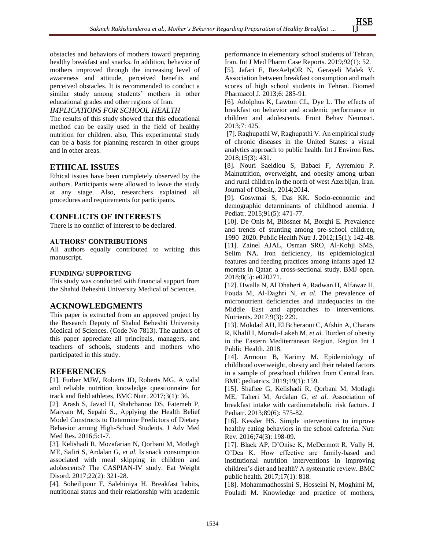obstacles and behaviors of mothers toward preparing healthy breakfast and snacks. In addition, behavior of mothers improved through the increasing level of awareness and attitude, perceived benefits and perceived obstacles. It is recommended to conduct a similar study among students' mothers in other educational grades and other regions of Iran.

## *IMPLICATIONS FOR SCHOOL HEALTH*

The results of this study showed that this educational method can be easily used in the field of healthy nutrition for children. also, This experimental study can be a basis for planning research in other groups and in other areas.

# **ETHICAL ISSUES**

Ethical issues have been completely observed by the authors. Participants were allowed to leave the study at any stage. Also, researchers explained all procedures and requirements for participants.

## **CONFLICTS OF INTERESTS**

There is no conflict of interest to be declared.

### **AUTHORS' CONTRIBUTIONS**

All authors equally contributed to writing this manuscript.

#### **FUNDING/ SUPPORTING**

This study was conducted with financial support from the Shahid Beheshti University Medical of Sciences.

## **ACKNOWLEDGMENTS**

This paper is extracted from an approved project by the Research Deputy of Shahid Beheshti University Medical of Sciences . (Code No 7813). The authors of this paper appreciate all principals, managers, and teachers of schools, students and mothers who participated in this study.

# **REFERENCES**

<span id="page-5-0"></span>**[**1]. Furber MJW, Roberts JD, Roberts MG. A valid and reliable nutrition knowledge questionnaire for track and field athletes, BMC Nutr. 2017;3(1): 36.

<span id="page-5-1"></span>[2]. Arash S, Javad H, Shahrbanoo DS, Fatemeh P, Maryam M, Sepahi S., Applying the Health Belief Model Constructs to Determine Predictors of Dietary Behavior among High-School Students. J Adv Med Med Res. 2016;5:1-7.

[3]. Kelishadi R, Mozafarian N, Qorbani M, Motlagh ME, Safiri S, Ardalan G, *et al.* Is snack consumption associated with meal skipping in children and adolescents? The CASPIAN-IV study. Eat Weight Disord. 2017;22(2): 321-28.

<span id="page-5-2"></span>[4]. Soheilipour F, Salehiniya H. Breakfast habits, nutritional status and their relationship with academic performance in elementary school students of Tehran, Iran. Int J Med Pharm Case Reports. 2019;92(1): 52.

[5]. Jafari F, RezAeIpOR N, Gerayeli Malek V. Association between breakfast consumption and math scores of high school students in Tehran. Biomed Pharmacol J. 2013;6: 285-91.

[6]. Adolphus K, Lawton CL, Dye L. The effects of breakfast on behavior and academic performance in children and adolescents. Front Behav Neurosci. 2013;7: 425.

[7]. Raghupathi W, Raghupathi V. An empirical study of chronic diseases in the United States: a visual analytics approach to public health. Int J Environ Res. 2018;15(3): 431.

<span id="page-5-3"></span>[8]. Nouri Saeidlou S, Babaei F, Ayremlou P. Malnutrition, overweight, and obesity among urban and rural children in the north of west Azerbijan, Iran. Journal of Obesit,. 2014;2014.

<span id="page-5-4"></span>[9]. Goswmai S, Das KK. Socio-economic and demographic determinants of childhood anemia. J Pediatr. 2015;91(5): 471-77.

<span id="page-5-5"></span>[10]. De Onis M, Blössner M, Borghi E. Prevalence and trends of stunting among pre-school children, 1990–2020. Public Health Nutr J. 2012;15(1): 142-48.

[11]. Zainel AJAL, Osman SRO, Al-Kohji SMS, Selim NA. Iron deficiency, its epidemiological features and feeding practices among infants aged 12 months in Qatar: a cross-sectional study. BMJ open. 2018;8(5): e020271.

[12]. Hwalla N, Al Dhaheri A, Radwan H, Alfawaz H, Fouda M, Al‐Daghri N, *et al*. The prevalence of micronutrient deficiencies and inadequacies in the Middle East and approaches to interventions. Nutrients. 2017;9(3): 229.

[13]. Mokdad AH, El Bcheraoui C, Afshin A, Charara R, Khalil I, Moradi-Lakeh M, *et al.* Burden of obesity in the Eastern Mediterranean Region. Region Int J Public Health. 2018.

[14]. Armoon B, Karimy M. Epidemiology of childhood overweight, obesity and their related factors in a sample of preschool children from Central Iran. BMC pediatrics. 2019;19(1): 159.

[15]. Shafiee G, Kelishadi R, Qorbani M, Motlagh ME, Taheri M, Ardalan G, *et al.* Association of breakfast intake with cardiometabolic risk factors. J Pediatr. 2013;89(6): 575-82.

[16]. Kessler HS. Simple interventions to improve healthy eating behaviors in the school cafeteria. Nutr Rev. 2016;74(3): 198-09.

[17]. Black AP, D'Onise K, McDermott R, Vally H, O'Dea K. How effective are family-based and institutional nutrition interventions in improving children's diet and health? A systematic review. BMC public health. 2017;17(1): 818.

[18]. Mohammadhossini S, Hosseini N, Moghimi M, Fouladi M. Knowledge and practice of mothers,